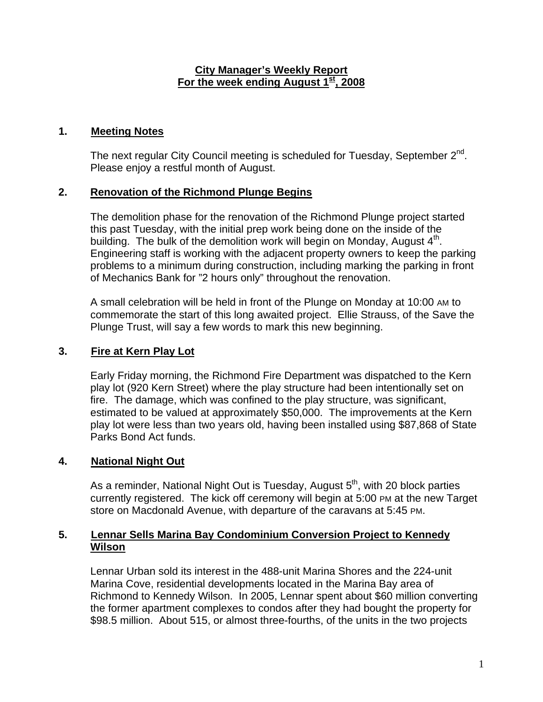#### **City Manager's Weekly Report** For the week ending August 1<sup>st</sup>, 2008

# **1. Meeting Notes**

The next regular City Council meeting is scheduled for Tuesday, September  $2^{nd}$ . Please enjoy a restful month of August.

# **2. Renovation of the Richmond Plunge Begins**

The demolition phase for the renovation of the Richmond Plunge project started this past Tuesday, with the initial prep work being done on the inside of the building. The bulk of the demolition work will begin on Monday, August 4<sup>th</sup>. Engineering staff is working with the adjacent property owners to keep the parking problems to a minimum during construction, including marking the parking in front of Mechanics Bank for "2 hours only" throughout the renovation.

A small celebration will be held in front of the Plunge on Monday at 10:00 AM to commemorate the start of this long awaited project. Ellie Strauss, of the Save the Plunge Trust, will say a few words to mark this new beginning.

# **3. Fire at Kern Play Lot**

Early Friday morning, the Richmond Fire Department was dispatched to the Kern play lot (920 Kern Street) where the play structure had been intentionally set on fire. The damage, which was confined to the play structure, was significant, estimated to be valued at approximately \$50,000. The improvements at the Kern play lot were less than two years old, having been installed using \$87,868 of State Parks Bond Act funds.

# **4. National Night Out**

As a reminder, National Night Out is Tuesday, August  $5<sup>th</sup>$ , with 20 block parties currently registered. The kick off ceremony will begin at 5:00 PM at the new Target store on Macdonald Avenue, with departure of the caravans at 5:45 PM.

### **5. Lennar Sells Marina Bay Condominium Conversion Project to Kennedy Wilson**

Lennar Urban sold its interest in the 488-unit Marina Shores and the 224-unit Marina Cove, residential developments located in the Marina Bay area of Richmond to Kennedy Wilson. In 2005, Lennar spent about \$60 million converting the former apartment complexes to condos after they had bought the property for \$98.5 million. About 515, or almost three-fourths, of the units in the two projects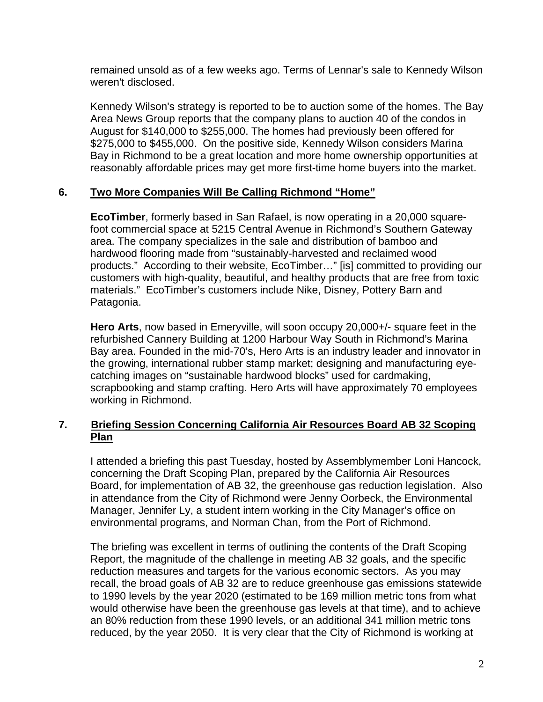remained unsold as of a few weeks ago. Terms of Lennar's sale to Kennedy Wilson weren't disclosed.

Kennedy Wilson's strategy is reported to be to auction some of the homes. The Bay Area News Group reports that the company plans to auction 40 of the condos in August for \$140,000 to \$255,000. The homes had previously been offered for \$275,000 to \$455,000. On the positive side, Kennedy Wilson considers Marina Bay in Richmond to be a great location and more home ownership opportunities at reasonably affordable prices may get more first-time home buyers into the market.

### **6. Two More Companies Will Be Calling Richmond "Home"**

**EcoTimber**, formerly based in San Rafael, is now operating in a 20,000 squarefoot commercial space at 5215 Central Avenue in Richmond's Southern Gateway area. The company specializes in the sale and distribution of bamboo and hardwood flooring made from "sustainably-harvested and reclaimed wood products." According to their website, EcoTimber…" [is] committed to providing our customers with high-quality, beautiful, and healthy products that are free from toxic materials." EcoTimber's customers include Nike, Disney, Pottery Barn and Patagonia.

**Hero Arts**, now based in Emeryville, will soon occupy 20,000+/- square feet in the refurbished Cannery Building at 1200 Harbour Way South in Richmond's Marina Bay area. Founded in the mid-70's, Hero Arts is an industry leader and innovator in the growing, international rubber stamp market; designing and manufacturing eyecatching images on "sustainable hardwood blocks" used for cardmaking, scrapbooking and stamp crafting. Hero Arts will have approximately 70 employees working in Richmond.

# **7. Briefing Session Concerning California Air Resources Board AB 32 Scoping Plan**

I attended a briefing this past Tuesday, hosted by Assemblymember Loni Hancock, concerning the Draft Scoping Plan, prepared by the California Air Resources Board, for implementation of AB 32, the greenhouse gas reduction legislation. Also in attendance from the City of Richmond were Jenny Oorbeck, the Environmental Manager, Jennifer Ly, a student intern working in the City Manager's office on environmental programs, and Norman Chan, from the Port of Richmond.

The briefing was excellent in terms of outlining the contents of the Draft Scoping Report, the magnitude of the challenge in meeting AB 32 goals, and the specific reduction measures and targets for the various economic sectors. As you may recall, the broad goals of AB 32 are to reduce greenhouse gas emissions statewide to 1990 levels by the year 2020 (estimated to be 169 million metric tons from what would otherwise have been the greenhouse gas levels at that time), and to achieve an 80% reduction from these 1990 levels, or an additional 341 million metric tons reduced, by the year 2050. It is very clear that the City of Richmond is working at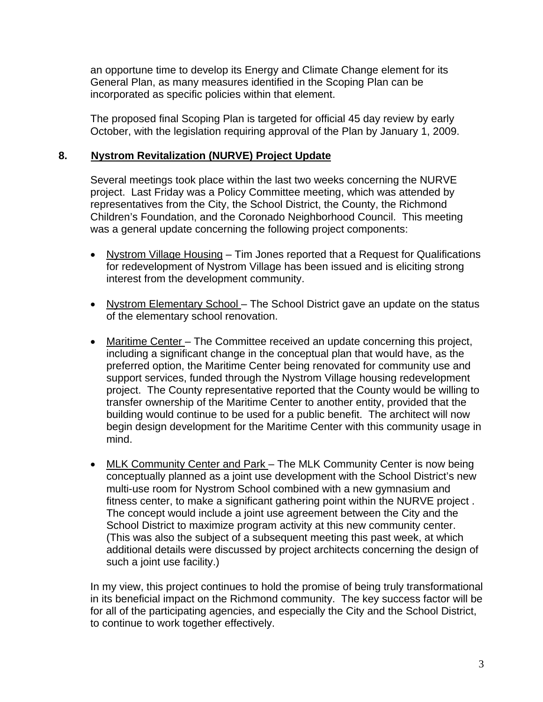an opportune time to develop its Energy and Climate Change element for its General Plan, as many measures identified in the Scoping Plan can be incorporated as specific policies within that element.

The proposed final Scoping Plan is targeted for official 45 day review by early October, with the legislation requiring approval of the Plan by January 1, 2009.

### **8. Nystrom Revitalization (NURVE) Project Update**

Several meetings took place within the last two weeks concerning the NURVE project. Last Friday was a Policy Committee meeting, which was attended by representatives from the City, the School District, the County, the Richmond Children's Foundation, and the Coronado Neighborhood Council. This meeting was a general update concerning the following project components:

- Nystrom Village Housing Tim Jones reported that a Request for Qualifications for redevelopment of Nystrom Village has been issued and is eliciting strong interest from the development community.
- Nystrom Elementary School The School District gave an update on the status of the elementary school renovation.
- Maritime Center The Committee received an update concerning this project, including a significant change in the conceptual plan that would have, as the preferred option, the Maritime Center being renovated for community use and support services, funded through the Nystrom Village housing redevelopment project. The County representative reported that the County would be willing to transfer ownership of the Maritime Center to another entity, provided that the building would continue to be used for a public benefit. The architect will now begin design development for the Maritime Center with this community usage in mind.
- MLK Community Center and Park The MLK Community Center is now being conceptually planned as a joint use development with the School District's new multi-use room for Nystrom School combined with a new gymnasium and fitness center, to make a significant gathering point within the NURVE project . The concept would include a joint use agreement between the City and the School District to maximize program activity at this new community center. (This was also the subject of a subsequent meeting this past week, at which additional details were discussed by project architects concerning the design of such a joint use facility.)

In my view, this project continues to hold the promise of being truly transformational in its beneficial impact on the Richmond community. The key success factor will be for all of the participating agencies, and especially the City and the School District, to continue to work together effectively.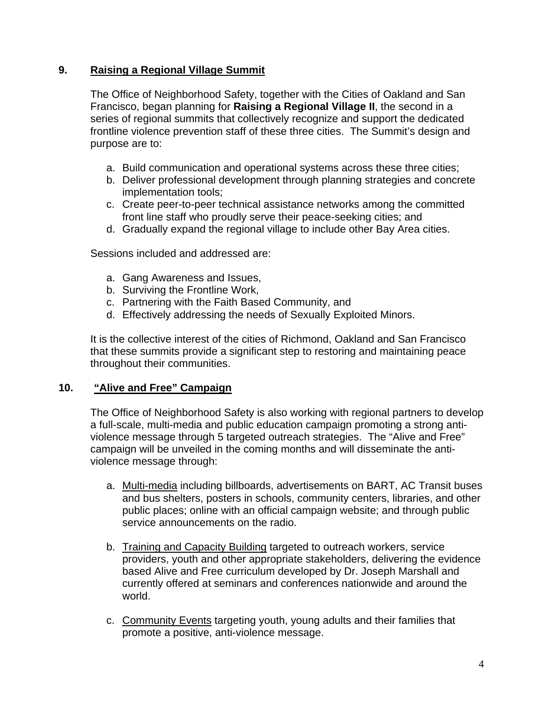# **9. Raising a Regional Village Summit**

The Office of Neighborhood Safety, together with the Cities of Oakland and San Francisco, began planning for **Raising a Regional Village II**, the second in a series of regional summits that collectively recognize and support the dedicated frontline violence prevention staff of these three cities. The Summit's design and purpose are to:

- a. Build communication and operational systems across these three cities;
- b. Deliver professional development through planning strategies and concrete implementation tools;
- c. Create peer-to-peer technical assistance networks among the committed front line staff who proudly serve their peace-seeking cities; and
- d. Gradually expand the regional village to include other Bay Area cities.

Sessions included and addressed are:

- a. Gang Awareness and Issues,
- b. Surviving the Frontline Work,
- c. Partnering with the Faith Based Community, and
- d. Effectively addressing the needs of Sexually Exploited Minors.

It is the collective interest of the cities of Richmond, Oakland and San Francisco that these summits provide a significant step to restoring and maintaining peace throughout their communities.

#### **10. "Alive and Free" Campaign**

The Office of Neighborhood Safety is also working with regional partners to develop a full-scale, multi-media and public education campaign promoting a strong antiviolence message through 5 targeted outreach strategies. The "Alive and Free" campaign will be unveiled in the coming months and will disseminate the antiviolence message through:

- a. Multi-media including billboards, advertisements on BART, AC Transit buses and bus shelters, posters in schools, community centers, libraries, and other public places; online with an official campaign website; and through public service announcements on the radio.
- b. Training and Capacity Building targeted to outreach workers, service providers, youth and other appropriate stakeholders, delivering the evidence based Alive and Free curriculum developed by Dr. Joseph Marshall and currently offered at seminars and conferences nationwide and around the world.
- c. Community Events targeting youth, young adults and their families that promote a positive, anti-violence message.